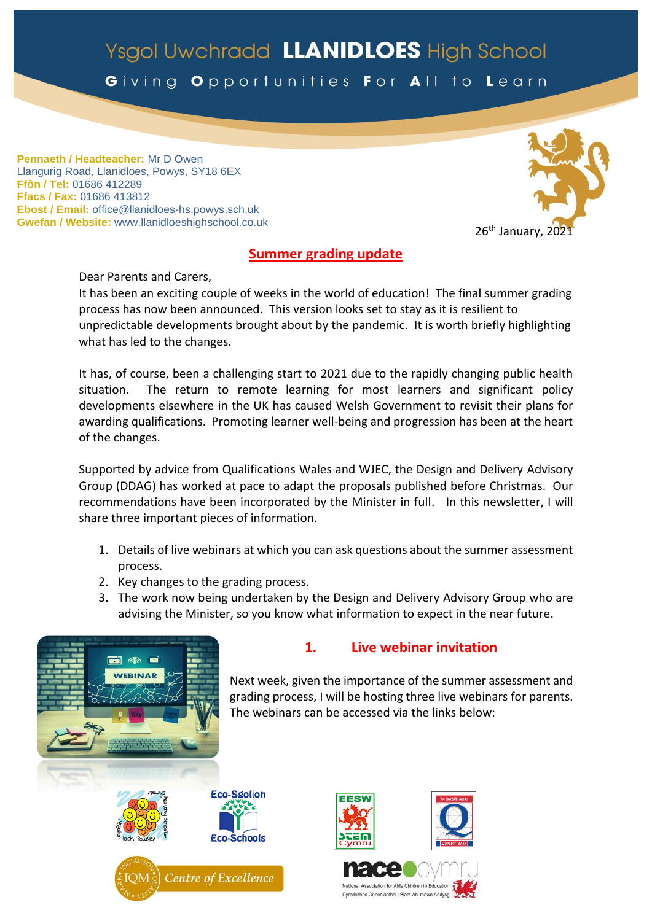# Ysgol Uwchradd LLANIDLOES High School

Giving Opportunities For All to Learn

**Pennaeth / Headteacher:** Mr D Owen Llangurig Road, Llanidloes, Powys, SY18 6EX **Ffôn / Tel:** 01686 412289 **Ffacs / Fax:** 01686 413812 **Ebost / Email:** office@llanidloes-hs.powys.sch.uk **Gwefan / Website:** www.llanidloeshighschool.co.uk



# **Summer grading update**

Dear Parents and Carers,

It has been an exciting couple of weeks in the world of education! The final summer grading process has now been announced. This version looks set to stay as it is resilient to unpredictable developments brought about by the pandemic. It is worth briefly highlighting what has led to the changes.

It has, of course, been a challenging start to 2021 due to the rapidly changing public health situation. The return to remote learning for most learners and significant policy developments elsewhere in the UK has caused Welsh Government to revisit their plans for awarding qualifications. Promoting learner well-being and progression has been at the heart of the changes.

Supported by advice from Qualifications Wales and WJEC, the Design and Delivery Advisory Group (DDAG) has worked at pace to adapt the proposals published before Christmas. Our recommendations have been incorporated by the Minister in full. In this newsletter, I will share three important pieces of information.

- 1. Details of live webinars at which you can ask questions about the summer assessment process.
- 2. Key changes to the grading process.
- 3. The work now being undertaken by the Design and Delivery Advisory Group who are advising the Minister, so you know what information to expect in the near future.



# **1. Live webinar invitation**

Next week, given the importance of the summer assessment and grading process, I will be hosting three live webinars for parents. The webinars can be accessed via the links below:





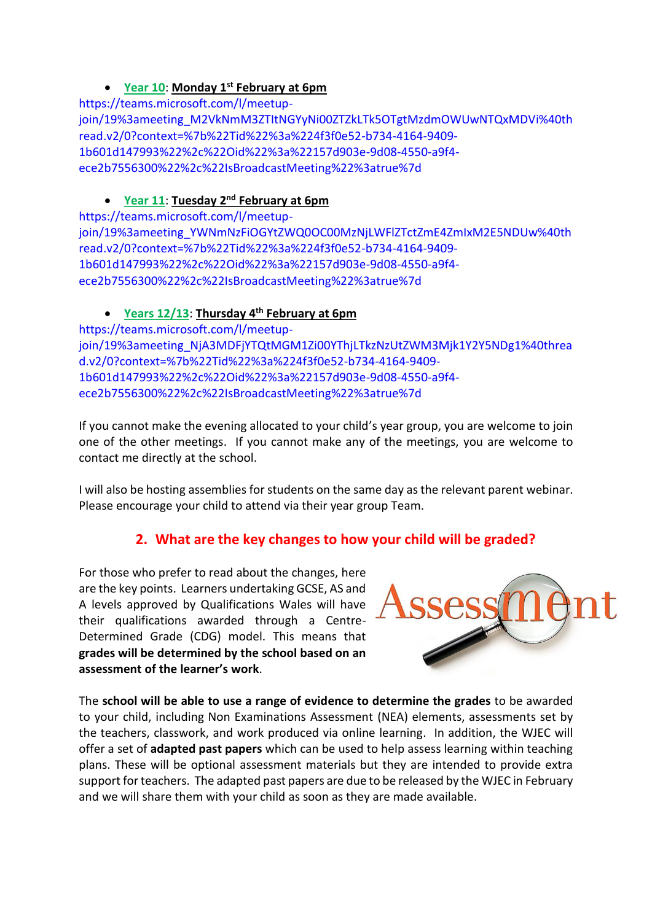# **Year 10**: **Monday 1st February at 6pm**

[https://teams.microsoft.com/l/meetup](https://teams.microsoft.com/l/meetup-join/19%3ameeting_M2VkNmM3ZTItNGYyNi00ZTZkLTk5OTgtMzdmOWUwNTQxMDVi%40thread.v2/0?context=%7b%22Tid%22%3a%224f3f0e52-b734-4164-9409-1b601d147993%22%2c%22Oid%22%3a%22157d903e-9d08-4550-a9f4-ece2b7556300%22%2c%22IsBroadcastMeeting%22%3atrue%7d)[join/19%3ameeting\\_M2VkNmM3ZTItNGYyNi00ZTZkLTk5OTgtMzdmOWUwNTQxMDVi%40th](https://teams.microsoft.com/l/meetup-join/19%3ameeting_M2VkNmM3ZTItNGYyNi00ZTZkLTk5OTgtMzdmOWUwNTQxMDVi%40thread.v2/0?context=%7b%22Tid%22%3a%224f3f0e52-b734-4164-9409-1b601d147993%22%2c%22Oid%22%3a%22157d903e-9d08-4550-a9f4-ece2b7556300%22%2c%22IsBroadcastMeeting%22%3atrue%7d) [read.v2/0?context=%7b%22Tid%22%3a%224f3f0e52-b734-4164-9409-](https://teams.microsoft.com/l/meetup-join/19%3ameeting_M2VkNmM3ZTItNGYyNi00ZTZkLTk5OTgtMzdmOWUwNTQxMDVi%40thread.v2/0?context=%7b%22Tid%22%3a%224f3f0e52-b734-4164-9409-1b601d147993%22%2c%22Oid%22%3a%22157d903e-9d08-4550-a9f4-ece2b7556300%22%2c%22IsBroadcastMeeting%22%3atrue%7d) [1b601d147993%22%2c%22Oid%22%3a%22157d903e-9d08-4550-a9f4](https://teams.microsoft.com/l/meetup-join/19%3ameeting_M2VkNmM3ZTItNGYyNi00ZTZkLTk5OTgtMzdmOWUwNTQxMDVi%40thread.v2/0?context=%7b%22Tid%22%3a%224f3f0e52-b734-4164-9409-1b601d147993%22%2c%22Oid%22%3a%22157d903e-9d08-4550-a9f4-ece2b7556300%22%2c%22IsBroadcastMeeting%22%3atrue%7d) [ece2b7556300%22%2c%22IsBroadcastMeeting%22%3atrue%7d](https://teams.microsoft.com/l/meetup-join/19%3ameeting_M2VkNmM3ZTItNGYyNi00ZTZkLTk5OTgtMzdmOWUwNTQxMDVi%40thread.v2/0?context=%7b%22Tid%22%3a%224f3f0e52-b734-4164-9409-1b601d147993%22%2c%22Oid%22%3a%22157d903e-9d08-4550-a9f4-ece2b7556300%22%2c%22IsBroadcastMeeting%22%3atrue%7d)

# **Year 11**: **Tuesday 2nd February at 6pm**

[https://teams.microsoft.com/l/meetup](https://teams.microsoft.com/l/meetup-join/19%3ameeting_YWNmNzFiOGYtZWQ0OC00MzNjLWFlZTctZmE4ZmIxM2E5NDUw%40thread.v2/0?context=%7b%22Tid%22%3a%224f3f0e52-b734-4164-9409-1b601d147993%22%2c%22Oid%22%3a%22157d903e-9d08-4550-a9f4-ece2b7556300%22%2c%22IsBroadcastMeeting%22%3atrue%7d)[join/19%3ameeting\\_YWNmNzFiOGYtZWQ0OC00MzNjLWFlZTctZmE4ZmIxM2E5NDUw%40th](https://teams.microsoft.com/l/meetup-join/19%3ameeting_YWNmNzFiOGYtZWQ0OC00MzNjLWFlZTctZmE4ZmIxM2E5NDUw%40thread.v2/0?context=%7b%22Tid%22%3a%224f3f0e52-b734-4164-9409-1b601d147993%22%2c%22Oid%22%3a%22157d903e-9d08-4550-a9f4-ece2b7556300%22%2c%22IsBroadcastMeeting%22%3atrue%7d) [read.v2/0?context=%7b%22Tid%22%3a%224f3f0e52-b734-4164-9409-](https://teams.microsoft.com/l/meetup-join/19%3ameeting_YWNmNzFiOGYtZWQ0OC00MzNjLWFlZTctZmE4ZmIxM2E5NDUw%40thread.v2/0?context=%7b%22Tid%22%3a%224f3f0e52-b734-4164-9409-1b601d147993%22%2c%22Oid%22%3a%22157d903e-9d08-4550-a9f4-ece2b7556300%22%2c%22IsBroadcastMeeting%22%3atrue%7d) [1b601d147993%22%2c%22Oid%22%3a%22157d903e-9d08-4550-a9f4](https://teams.microsoft.com/l/meetup-join/19%3ameeting_YWNmNzFiOGYtZWQ0OC00MzNjLWFlZTctZmE4ZmIxM2E5NDUw%40thread.v2/0?context=%7b%22Tid%22%3a%224f3f0e52-b734-4164-9409-1b601d147993%22%2c%22Oid%22%3a%22157d903e-9d08-4550-a9f4-ece2b7556300%22%2c%22IsBroadcastMeeting%22%3atrue%7d) [ece2b7556300%22%2c%22IsBroadcastMeeting%22%3atrue%7d](https://teams.microsoft.com/l/meetup-join/19%3ameeting_YWNmNzFiOGYtZWQ0OC00MzNjLWFlZTctZmE4ZmIxM2E5NDUw%40thread.v2/0?context=%7b%22Tid%22%3a%224f3f0e52-b734-4164-9409-1b601d147993%22%2c%22Oid%22%3a%22157d903e-9d08-4550-a9f4-ece2b7556300%22%2c%22IsBroadcastMeeting%22%3atrue%7d)

# **Years 12/13**: **Thursday 4th February at 6pm**

[https://teams.microsoft.com/l/meetup](https://teams.microsoft.com/l/meetup-join/19%3ameeting_NjA3MDFjYTQtMGM1Zi00YThjLTkzNzUtZWM3Mjk1Y2Y5NDg1%40thread.v2/0?context=%7b%22Tid%22%3a%224f3f0e52-b734-4164-9409-1b601d147993%22%2c%22Oid%22%3a%22157d903e-9d08-4550-a9f4-ece2b7556300%22%2c%22IsBroadcastMeeting%22%3atrue%7d)[join/19%3ameeting\\_NjA3MDFjYTQtMGM1Zi00YThjLTkzNzUtZWM3Mjk1Y2Y5NDg1%40threa](https://teams.microsoft.com/l/meetup-join/19%3ameeting_NjA3MDFjYTQtMGM1Zi00YThjLTkzNzUtZWM3Mjk1Y2Y5NDg1%40thread.v2/0?context=%7b%22Tid%22%3a%224f3f0e52-b734-4164-9409-1b601d147993%22%2c%22Oid%22%3a%22157d903e-9d08-4550-a9f4-ece2b7556300%22%2c%22IsBroadcastMeeting%22%3atrue%7d) [d.v2/0?context=%7b%22Tid%22%3a%224f3f0e52-b734-4164-9409-](https://teams.microsoft.com/l/meetup-join/19%3ameeting_NjA3MDFjYTQtMGM1Zi00YThjLTkzNzUtZWM3Mjk1Y2Y5NDg1%40thread.v2/0?context=%7b%22Tid%22%3a%224f3f0e52-b734-4164-9409-1b601d147993%22%2c%22Oid%22%3a%22157d903e-9d08-4550-a9f4-ece2b7556300%22%2c%22IsBroadcastMeeting%22%3atrue%7d) [1b601d147993%22%2c%22Oid%22%3a%22157d903e-9d08-4550-a9f4](https://teams.microsoft.com/l/meetup-join/19%3ameeting_NjA3MDFjYTQtMGM1Zi00YThjLTkzNzUtZWM3Mjk1Y2Y5NDg1%40thread.v2/0?context=%7b%22Tid%22%3a%224f3f0e52-b734-4164-9409-1b601d147993%22%2c%22Oid%22%3a%22157d903e-9d08-4550-a9f4-ece2b7556300%22%2c%22IsBroadcastMeeting%22%3atrue%7d) [ece2b7556300%22%2c%22IsBroadcastMeeting%22%3atrue%7d](https://teams.microsoft.com/l/meetup-join/19%3ameeting_NjA3MDFjYTQtMGM1Zi00YThjLTkzNzUtZWM3Mjk1Y2Y5NDg1%40thread.v2/0?context=%7b%22Tid%22%3a%224f3f0e52-b734-4164-9409-1b601d147993%22%2c%22Oid%22%3a%22157d903e-9d08-4550-a9f4-ece2b7556300%22%2c%22IsBroadcastMeeting%22%3atrue%7d)

If you cannot make the evening allocated to your child's year group, you are welcome to join one of the other meetings. If you cannot make any of the meetings, you are welcome to contact me directly at the school.

I will also be hosting assemblies for students on the same day as the relevant parent webinar. Please encourage your child to attend via their year group Team.

# **2. What are the key changes to how your child will be graded?**

For those who prefer to read about the changes, here are the key points. Learners undertaking GCSE, AS and A levels approved by Qualifications Wales will have their qualifications awarded through a Centre-Determined Grade (CDG) model. This means that **grades will be determined by the school based on an assessment of the learner's work**.



The **school will be able to use a range of evidence to determine the grades** to be awarded to your child, including Non Examinations Assessment (NEA) elements, assessments set by the teachers, classwork, and work produced via online learning. In addition, the WJEC will offer a set of **adapted past papers** which can be used to help assess learning within teaching plans. These will be optional assessment materials but they are intended to provide extra support for teachers. The adapted past papers are due to be released by the WJEC in February and we will share them with your child as soon as they are made available.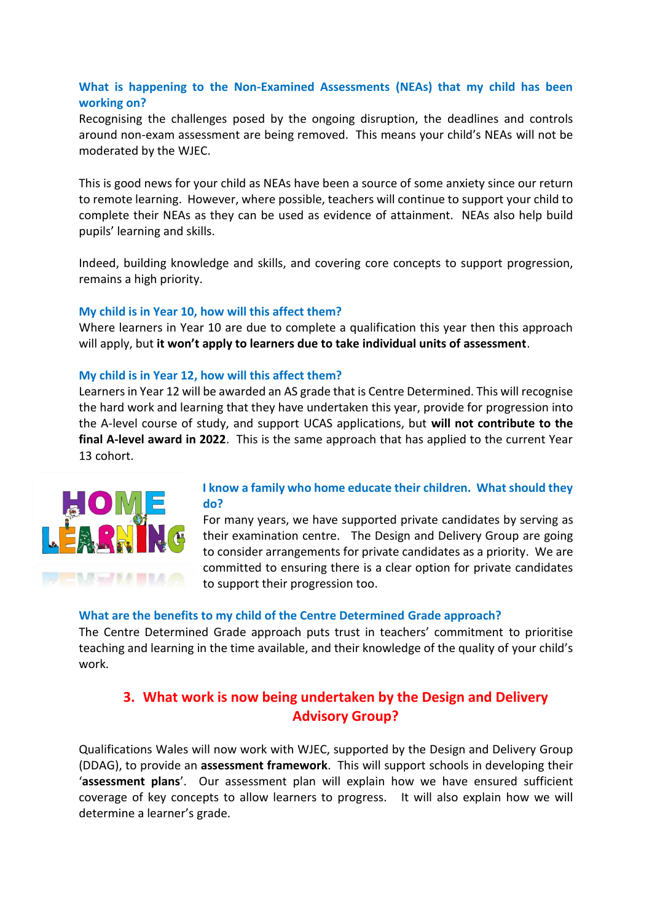### **What is happening to the Non-Examined Assessments (NEAs) that my child has been working on?**

Recognising the challenges posed by the ongoing disruption, the deadlines and controls around non-exam assessment are being removed. This means your child's NEAs will not be moderated by the WJEC.

This is good news for your child as NEAs have been a source of some anxiety since our return to remote learning. However, where possible, teachers will continue to support your child to complete their NEAs as they can be used as evidence of attainment. NEAs also help build pupils' learning and skills.

Indeed, building knowledge and skills, and covering core concepts to support progression, remains a high priority.

#### **My child is in Year 10, how will this affect them?**

Where learners in Year 10 are due to complete a qualification this year then this approach will apply, but **it won't apply to learners due to take individual units of assessment**.

#### **My child is in Year 12, how will this affect them?**

Learners in Year 12 will be awarded an AS grade that is Centre Determined. This will recognise the hard work and learning that they have undertaken this year, provide for progression into the A-level course of study, and support UCAS applications, but **will not contribute to the final A-level award in 2022**. This is the same approach that has applied to the current Year 13 cohort.



#### **I know a family who home educate their children. What should they do?**

For many years, we have supported private candidates by serving as their examination centre. The Design and Delivery Group are going to consider arrangements for private candidates as a priority. We are committed to ensuring there is a clear option for private candidates to support their progression too.

#### **What are the benefits to my child of the Centre Determined Grade approach?**

The Centre Determined Grade approach puts trust in teachers' commitment to prioritise teaching and learning in the time available, and their knowledge of the quality of your child's work.

# **3. What work is now being undertaken by the Design and Delivery Advisory Group?**

Qualifications Wales will now work with WJEC, supported by the Design and Delivery Group (DDAG), to provide an **assessment framework**. This will support schools in developing their '**assessment plans**'. Our assessment plan will explain how we have ensured sufficient coverage of key concepts to allow learners to progress. It will also explain how we will determine a learner's grade.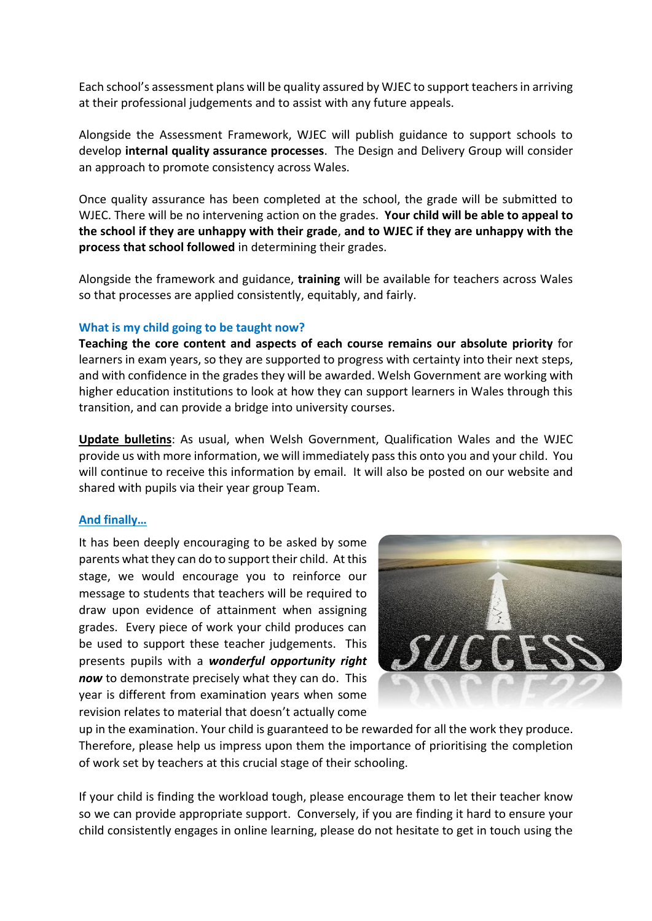Each school's assessment plans will be quality assured by WJEC to support teachersin arriving at their professional judgements and to assist with any future appeals.

Alongside the Assessment Framework, WJEC will publish guidance to support schools to develop **internal quality assurance processes**. The Design and Delivery Group will consider an approach to promote consistency across Wales.

Once quality assurance has been completed at the school, the grade will be submitted to WJEC. There will be no intervening action on the grades. **Your child will be able to appeal to the school if they are unhappy with their grade**, **and to WJEC if they are unhappy with the process that school followed** in determining their grades.

Alongside the framework and guidance, **training** will be available for teachers across Wales so that processes are applied consistently, equitably, and fairly.

#### **What is my child going to be taught now?**

**Teaching the core content and aspects of each course remains our absolute priority** for learners in exam years, so they are supported to progress with certainty into their next steps, and with confidence in the grades they will be awarded. Welsh Government are working with higher education institutions to look at how they can support learners in Wales through this transition, and can provide a bridge into university courses.

**Update bulletins**: As usual, when Welsh Government, Qualification Wales and the WJEC provide us with more information, we will immediately pass this onto you and your child. You will continue to receive this information by email. It will also be posted on our website and shared with pupils via their year group Team.

#### **And finally…**

It has been deeply encouraging to be asked by some parents what they can do to support their child. At this stage, we would encourage you to reinforce our message to students that teachers will be required to draw upon evidence of attainment when assigning grades. Every piece of work your child produces can be used to support these teacher judgements. This presents pupils with a *wonderful opportunity right now* to demonstrate precisely what they can do. This year is different from examination years when some revision relates to material that doesn't actually come



up in the examination. Your child is guaranteed to be rewarded for all the work they produce. Therefore, please help us impress upon them the importance of prioritising the completion of work set by teachers at this crucial stage of their schooling.

If your child is finding the workload tough, please encourage them to let their teacher know so we can provide appropriate support. Conversely, if you are finding it hard to ensure your child consistently engages in online learning, please do not hesitate to get in touch using the